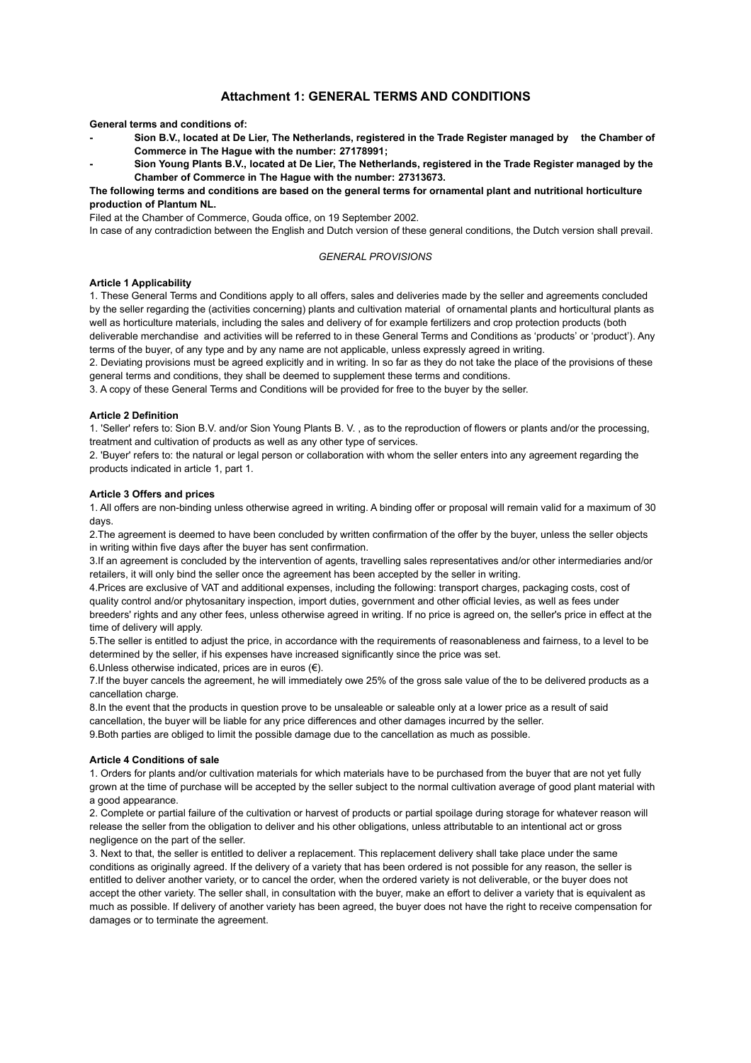# **Attachment 1: GENERAL TERMS AND CONDITIONS**

**General terms and conditions of:**

- **- Sion B.V., located at De Lier, The Netherlands, registered in the Trade Register managed by the Chamber of Commerce in The Hague with the number: 27178991;**
- **- Sion Young Plants B.V., located at De Lier, The Netherlands, registered in the Trade Register managed by the Chamber of Commerce in The Hague with the number: 27313673.**

## **The following terms and conditions are based on the general terms for ornamental plant and nutritional horticulture production of Plantum NL.**

Filed at the Chamber of Commerce, Gouda office, on 19 September 2002.

In case of any contradiction between the English and Dutch version of these general conditions, the Dutch version shall prevail.

## *GENERAL PROVISIONS*

## **Article 1 Applicability**

1. These General Terms and Conditions apply to all offers, sales and deliveries made by the seller and agreements concluded by the seller regarding the (activities concerning) plants and cultivation material of ornamental plants and horticultural plants as well as horticulture materials, including the sales and delivery of for example fertilizers and crop protection products (both deliverable merchandise and activities will be referred to in these General Terms and Conditions as 'products' or 'product'). Any terms of the buyer, of any type and by any name are not applicable, unless expressly agreed in writing.

2. Deviating provisions must be agreed explicitly and in writing. In so far as they do not take the place of the provisions of these general terms and conditions, they shall be deemed to supplement these terms and conditions.

3. A copy of these General Terms and Conditions will be provided for free to the buyer by the seller.

## **Article 2 Definition**

1. 'Seller' refers to: Sion B.V. and/or Sion Young Plants B. V. , as to the reproduction of flowers or plants and/or the processing, treatment and cultivation of products as well as any other type of services.

2. 'Buyer' refers to: the natural or legal person or collaboration with whom the seller enters into any agreement regarding the products indicated in article 1, part 1.

### **Article 3 Offers and prices**

1. All offers are non-binding unless otherwise agreed in writing. A binding offer or proposal will remain valid for a maximum of 30 days.

2.The agreement is deemed to have been concluded by written confirmation of the offer by the buyer, unless the seller objects in writing within five days after the buyer has sent confirmation.

3.If an agreement is concluded by the intervention of agents, travelling sales representatives and/or other intermediaries and/or retailers, it will only bind the seller once the agreement has been accepted by the seller in writing.

4.Prices are exclusive of VAT and additional expenses, including the following: transport charges, packaging costs, cost of quality control and/or phytosanitary inspection, import duties, government and other official levies, as well as fees under breeders' rights and any other fees, unless otherwise agreed in writing. If no price is agreed on, the seller's price in effect at the time of delivery will apply.

5.The seller is entitled to adjust the price, in accordance with the requirements of reasonableness and fairness, to a level to be determined by the seller, if his expenses have increased significantly since the price was set.

6. Unless otherwise indicated, prices are in euros  $(\epsilon)$ .

7.If the buyer cancels the agreement, he will immediately owe 25% of the gross sale value of the to be delivered products as a cancellation charge.

8.In the event that the products in question prove to be unsaleable or saleable only at a lower price as a result of said cancellation, the buyer will be liable for any price differences and other damages incurred by the seller.

9.Both parties are obliged to limit the possible damage due to the cancellation as much as possible.

## **Article 4 Conditions of sale**

1. Orders for plants and/or cultivation materials for which materials have to be purchased from the buyer that are not yet fully grown at the time of purchase will be accepted by the seller subject to the normal cultivation average of good plant material with a good appearance.

2. Complete or partial failure of the cultivation or harvest of products or partial spoilage during storage for whatever reason will release the seller from the obligation to deliver and his other obligations, unless attributable to an intentional act or gross negligence on the part of the seller.

3. Next to that, the seller is entitled to deliver a replacement. This replacement delivery shall take place under the same conditions as originally agreed. If the delivery of a variety that has been ordered is not possible for any reason, the seller is entitled to deliver another variety, or to cancel the order, when the ordered variety is not deliverable, or the buyer does not accept the other variety. The seller shall, in consultation with the buyer, make an effort to deliver a variety that is equivalent as much as possible. If delivery of another variety has been agreed, the buyer does not have the right to receive compensation for damages or to terminate the agreement.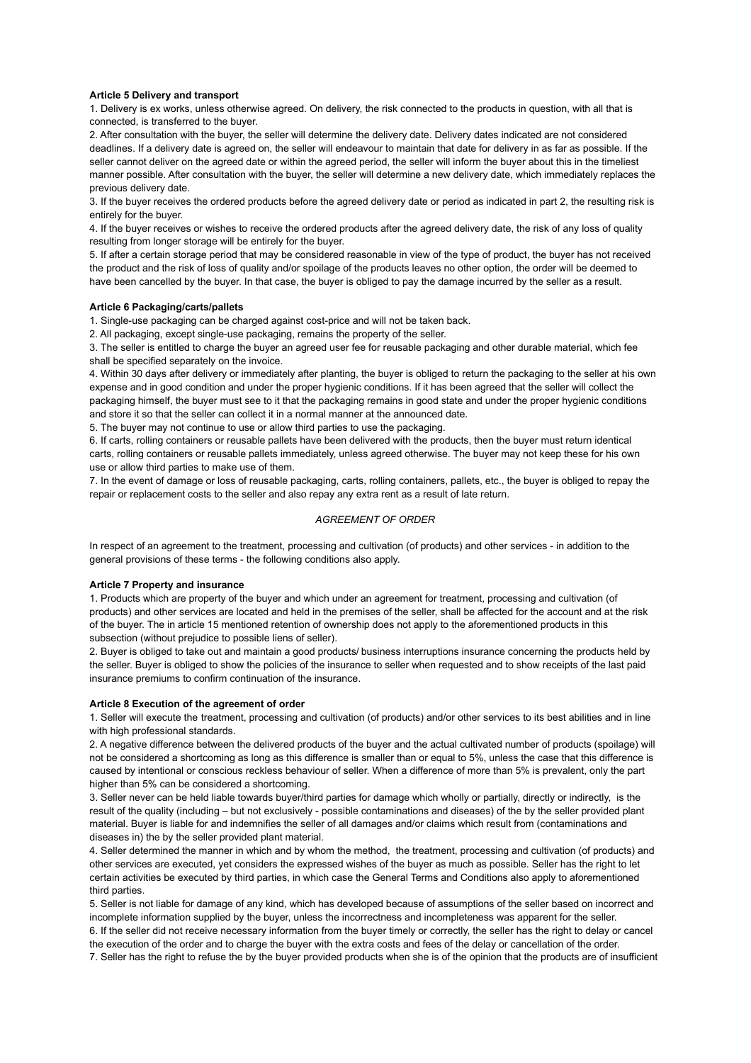### **Article 5 Delivery and transport**

1. Delivery is ex works, unless otherwise agreed. On delivery, the risk connected to the products in question, with all that is connected, is transferred to the buyer.

2. After consultation with the buyer, the seller will determine the delivery date. Delivery dates indicated are not considered deadlines. If a delivery date is agreed on, the seller will endeavour to maintain that date for delivery in as far as possible. If the seller cannot deliver on the agreed date or within the agreed period, the seller will inform the buyer about this in the timeliest manner possible. After consultation with the buyer, the seller will determine a new delivery date, which immediately replaces the previous delivery date.

3. If the buyer receives the ordered products before the agreed delivery date or period as indicated in part 2, the resulting risk is entirely for the buyer.

4. If the buyer receives or wishes to receive the ordered products after the agreed delivery date, the risk of any loss of quality resulting from longer storage will be entirely for the buyer.

5. If after a certain storage period that may be considered reasonable in view of the type of product, the buyer has not received the product and the risk of loss of quality and/or spoilage of the products leaves no other option, the order will be deemed to have been cancelled by the buyer. In that case, the buyer is obliged to pay the damage incurred by the seller as a result.

#### **Article 6 Packaging/carts/pallets**

1. Single-use packaging can be charged against cost-price and will not be taken back.

2. All packaging, except single-use packaging, remains the property of the seller.

3. The seller is entitled to charge the buyer an agreed user fee for reusable packaging and other durable material, which fee shall be specified separately on the invoice.

4. Within 30 days after delivery or immediately after planting, the buyer is obliged to return the packaging to the seller at his own expense and in good condition and under the proper hygienic conditions. If it has been agreed that the seller will collect the packaging himself, the buyer must see to it that the packaging remains in good state and under the proper hygienic conditions and store it so that the seller can collect it in a normal manner at the announced date.

5. The buyer may not continue to use or allow third parties to use the packaging.

6. If carts, rolling containers or reusable pallets have been delivered with the products, then the buyer must return identical carts, rolling containers or reusable pallets immediately, unless agreed otherwise. The buyer may not keep these for his own use or allow third parties to make use of them.

7. In the event of damage or loss of reusable packaging, carts, rolling containers, pallets, etc., the buyer is obliged to repay the repair or replacement costs to the seller and also repay any extra rent as a result of late return.

# *AGREEMENT OF ORDER*

In respect of an agreement to the treatment, processing and cultivation (of products) and other services - in addition to the general provisions of these terms - the following conditions also apply.

#### **Article 7 Property and insurance**

1. Products which are property of the buyer and which under an agreement for treatment, processing and cultivation (of products) and other services are located and held in the premises of the seller, shall be affected for the account and at the risk of the buyer. The in article 15 mentioned retention of ownership does not apply to the aforementioned products in this subsection (without prejudice to possible liens of seller).

2. Buyer is obliged to take out and maintain a good products/ business interruptions insurance concerning the products held by the seller. Buyer is obliged to show the policies of the insurance to seller when requested and to show receipts of the last paid insurance premiums to confirm continuation of the insurance.

### **Article 8 Execution of the agreement of order**

1. Seller will execute the treatment, processing and cultivation (of products) and/or other services to its best abilities and in line with high professional standards.

2. A negative difference between the delivered products of the buyer and the actual cultivated number of products (spoilage) will not be considered a shortcoming as long as this difference is smaller than or equal to 5%, unless the case that this difference is caused by intentional or conscious reckless behaviour of seller. When a difference of more than 5% is prevalent, only the part higher than 5% can be considered a shortcoming.

3. Seller never can be held liable towards buyer/third parties for damage which wholly or partially, directly or indirectly, is the result of the quality (including – but not exclusively - possible contaminations and diseases) of the by the seller provided plant material. Buyer is liable for and indemnifies the seller of all damages and/or claims which result from (contaminations and diseases in) the by the seller provided plant material.

4. Seller determined the manner in which and by whom the method, the treatment, processing and cultivation (of products) and other services are executed, yet considers the expressed wishes of the buyer as much as possible. Seller has the right to let certain activities be executed by third parties, in which case the General Terms and Conditions also apply to aforementioned third parties.

5. Seller is not liable for damage of any kind, which has developed because of assumptions of the seller based on incorrect and incomplete information supplied by the buyer, unless the incorrectness and incompleteness was apparent for the seller. 6. If the seller did not receive necessary information from the buyer timely or correctly, the seller has the right to delay or cancel the execution of the order and to charge the buyer with the extra costs and fees of the delay or cancellation of the order.

7. Seller has the right to refuse the by the buyer provided products when she is of the opinion that the products are of insufficient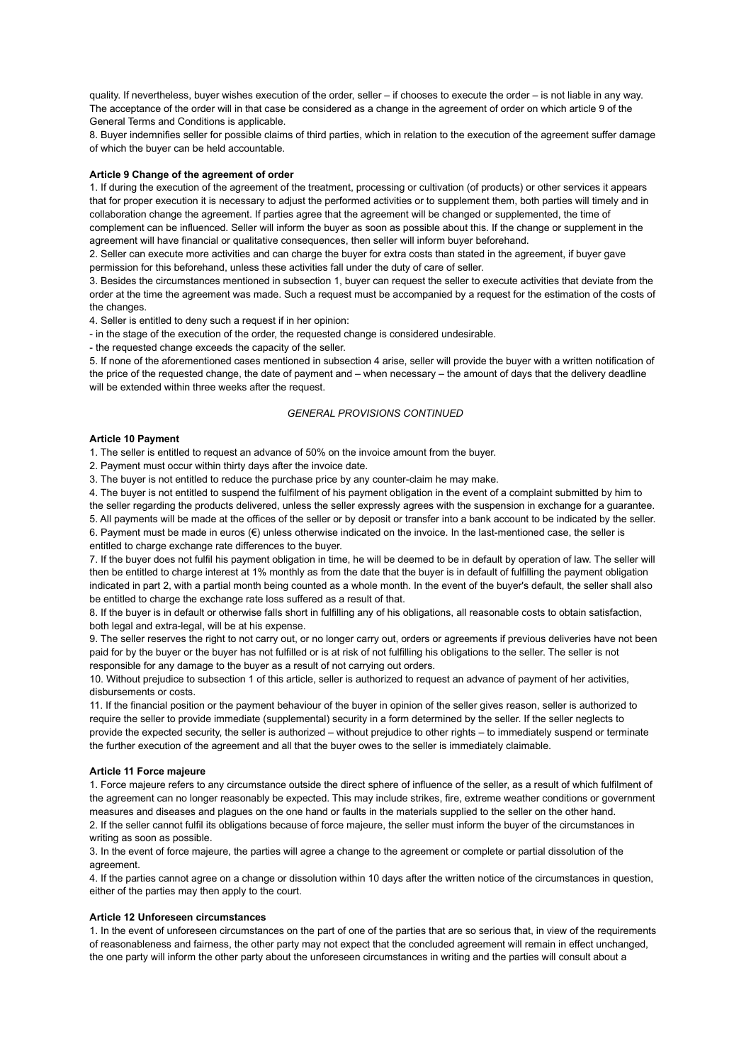quality. If nevertheless, buyer wishes execution of the order, seller – if chooses to execute the order – is not liable in any way. The acceptance of the order will in that case be considered as a change in the agreement of order on which article 9 of the General Terms and Conditions is applicable.

8. Buyer indemnifies seller for possible claims of third parties, which in relation to the execution of the agreement suffer damage of which the buyer can be held accountable.

## **Article 9 Change of the agreement of order**

1. If during the execution of the agreement of the treatment, processing or cultivation (of products) or other services it appears that for proper execution it is necessary to adjust the performed activities or to supplement them, both parties will timely and in collaboration change the agreement. If parties agree that the agreement will be changed or supplemented, the time of complement can be influenced. Seller will inform the buyer as soon as possible about this. If the change or supplement in the agreement will have financial or qualitative consequences, then seller will inform buyer beforehand.

2. Seller can execute more activities and can charge the buyer for extra costs than stated in the agreement, if buyer gave permission for this beforehand, unless these activities fall under the duty of care of seller.

3. Besides the circumstances mentioned in subsection 1, buyer can request the seller to execute activities that deviate from the order at the time the agreement was made. Such a request must be accompanied by a request for the estimation of the costs of the changes.

4. Seller is entitled to deny such a request if in her opinion:

- in the stage of the execution of the order, the requested change is considered undesirable.

- the requested change exceeds the capacity of the seller.

5. If none of the aforementioned cases mentioned in subsection 4 arise, seller will provide the buyer with a written notification of the price of the requested change, the date of payment and – when necessary – the amount of days that the delivery deadline will be extended within three weeks after the request.

### *GENERAL PROVISIONS CONTINUED*

## **Article 10 Payment**

1. The seller is entitled to request an advance of 50% on the invoice amount from the buyer.

2. Payment must occur within thirty days after the invoice date.

3. The buyer is not entitled to reduce the purchase price by any counter-claim he may make.

4. The buyer is not entitled to suspend the fulfilment of his payment obligation in the event of a complaint submitted by him to the seller regarding the products delivered, unless the seller expressly agrees with the suspension in exchange for a guarantee. 5. All payments will be made at the offices of the seller or by deposit or transfer into a bank account to be indicated by the seller. 6. Payment must be made in euros (€) unless otherwise indicated on the invoice. In the last-mentioned case, the seller is entitled to charge exchange rate differences to the buyer.

7. If the buyer does not fulfil his payment obligation in time, he will be deemed to be in default by operation of law. The seller will then be entitled to charge interest at 1% monthly as from the date that the buyer is in default of fulfilling the payment obligation indicated in part 2, with a partial month being counted as a whole month. In the event of the buyer's default, the seller shall also be entitled to charge the exchange rate loss suffered as a result of that.

8. If the buyer is in default or otherwise falls short in fulfilling any of his obligations, all reasonable costs to obtain satisfaction, both legal and extra-legal, will be at his expense.

9. The seller reserves the right to not carry out, or no longer carry out, orders or agreements if previous deliveries have not been paid for by the buyer or the buyer has not fulfilled or is at risk of not fulfilling his obligations to the seller. The seller is not responsible for any damage to the buyer as a result of not carrying out orders.

10. Without prejudice to subsection 1 of this article, seller is authorized to request an advance of payment of her activities, disbursements or costs.

11. If the financial position or the payment behaviour of the buyer in opinion of the seller gives reason, seller is authorized to require the seller to provide immediate (supplemental) security in a form determined by the seller. If the seller neglects to provide the expected security, the seller is authorized – without prejudice to other rights – to immediately suspend or terminate the further execution of the agreement and all that the buyer owes to the seller is immediately claimable.

### **Article 11 Force majeure**

1. Force majeure refers to any circumstance outside the direct sphere of influence of the seller, as a result of which fulfilment of the agreement can no longer reasonably be expected. This may include strikes, fire, extreme weather conditions or government measures and diseases and plagues on the one hand or faults in the materials supplied to the seller on the other hand. 2. If the seller cannot fulfil its obligations because of force majeure, the seller must inform the buyer of the circumstances in writing as soon as possible.

3. In the event of force majeure, the parties will agree a change to the agreement or complete or partial dissolution of the agreement.

4. If the parties cannot agree on a change or dissolution within 10 days after the written notice of the circumstances in question, either of the parties may then apply to the court.

## **Article 12 Unforeseen circumstances**

1. In the event of unforeseen circumstances on the part of one of the parties that are so serious that, in view of the requirements of reasonableness and fairness, the other party may not expect that the concluded agreement will remain in effect unchanged, the one party will inform the other party about the unforeseen circumstances in writing and the parties will consult about a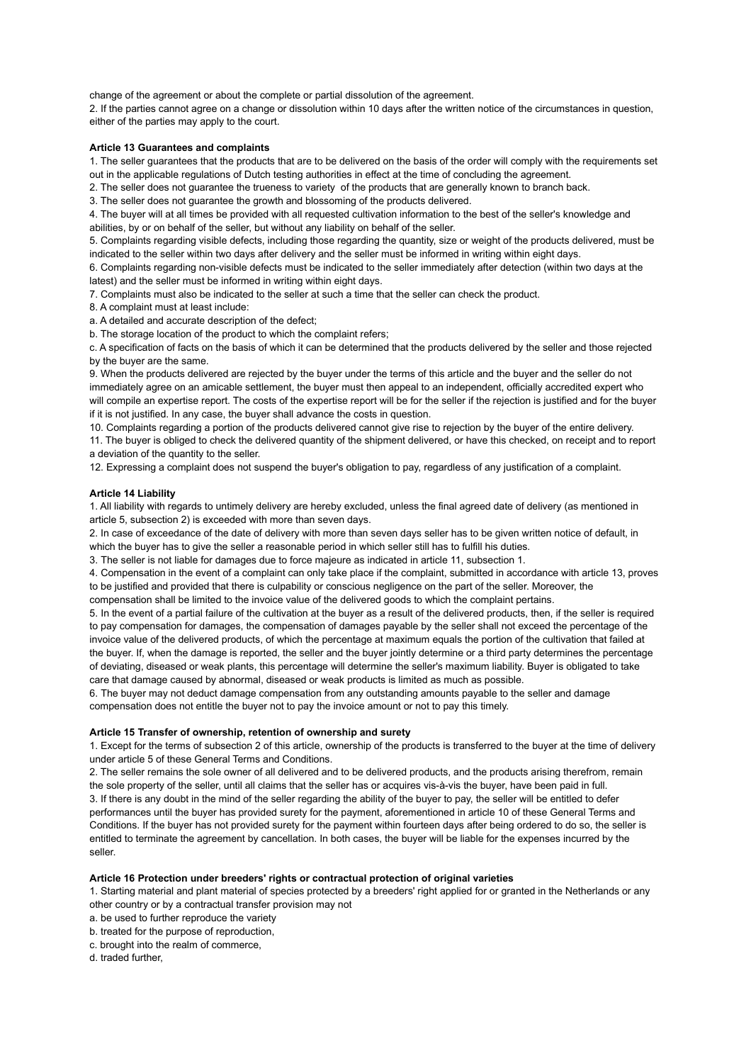change of the agreement or about the complete or partial dissolution of the agreement.

2. If the parties cannot agree on a change or dissolution within 10 days after the written notice of the circumstances in question, either of the parties may apply to the court.

#### **Article 13 Guarantees and complaints**

1. The seller guarantees that the products that are to be delivered on the basis of the order will comply with the requirements set out in the applicable regulations of Dutch testing authorities in effect at the time of concluding the agreement.

2. The seller does not guarantee the trueness to variety of the products that are generally known to branch back.

3. The seller does not guarantee the growth and blossoming of the products delivered.

4. The buyer will at all times be provided with all requested cultivation information to the best of the seller's knowledge and abilities, by or on behalf of the seller, but without any liability on behalf of the seller.

5. Complaints regarding visible defects, including those regarding the quantity, size or weight of the products delivered, must be indicated to the seller within two days after delivery and the seller must be informed in writing within eight days.

6. Complaints regarding non-visible defects must be indicated to the seller immediately after detection (within two days at the latest) and the seller must be informed in writing within eight days.

7. Complaints must also be indicated to the seller at such a time that the seller can check the product.

8. A complaint must at least include:

a. A detailed and accurate description of the defect;

b. The storage location of the product to which the complaint refers;

c. A specification of facts on the basis of which it can be determined that the products delivered by the seller and those rejected by the buyer are the same.

9. When the products delivered are rejected by the buyer under the terms of this article and the buyer and the seller do not immediately agree on an amicable settlement, the buyer must then appeal to an independent, officially accredited expert who will compile an expertise report. The costs of the expertise report will be for the seller if the rejection is justified and for the buyer if it is not justified. In any case, the buyer shall advance the costs in question.

10. Complaints regarding a portion of the products delivered cannot give rise to rejection by the buyer of the entire delivery. 11. The buyer is obliged to check the delivered quantity of the shipment delivered, or have this checked, on receipt and to report a deviation of the quantity to the seller.

12. Expressing a complaint does not suspend the buyer's obligation to pay, regardless of any justification of a complaint.

### **Article 14 Liability**

1. All liability with regards to untimely delivery are hereby excluded, unless the final agreed date of delivery (as mentioned in article 5, subsection 2) is exceeded with more than seven days.

2. In case of exceedance of the date of delivery with more than seven days seller has to be given written notice of default, in which the buyer has to give the seller a reasonable period in which seller still has to fulfill his duties.

3. The seller is not liable for damages due to force majeure as indicated in article 11, subsection 1.

4. Compensation in the event of a complaint can only take place if the complaint, submitted in accordance with article 13, proves to be justified and provided that there is culpability or conscious negligence on the part of the seller. Moreover, the compensation shall be limited to the invoice value of the delivered goods to which the complaint pertains.

5. In the event of a partial failure of the cultivation at the buyer as a result of the delivered products, then, if the seller is required to pay compensation for damages, the compensation of damages payable by the seller shall not exceed the percentage of the invoice value of the delivered products, of which the percentage at maximum equals the portion of the cultivation that failed at the buyer. If, when the damage is reported, the seller and the buyer jointly determine or a third party determines the percentage of deviating, diseased or weak plants, this percentage will determine the seller's maximum liability. Buyer is obligated to take care that damage caused by abnormal, diseased or weak products is limited as much as possible.

6. The buyer may not deduct damage compensation from any outstanding amounts payable to the seller and damage compensation does not entitle the buyer not to pay the invoice amount or not to pay this timely.

#### **Article 15 Transfer of ownership, retention of ownership and surety**

1. Except for the terms of subsection 2 of this article, ownership of the products is transferred to the buyer at the time of delivery under article 5 of these General Terms and Conditions.

2. The seller remains the sole owner of all delivered and to be delivered products, and the products arising therefrom, remain the sole property of the seller, until all claims that the seller has or acquires vis-à-vis the buyer, have been paid in full. 3. If there is any doubt in the mind of the seller regarding the ability of the buyer to pay, the seller will be entitled to defer performances until the buyer has provided surety for the payment, aforementioned in article 10 of these General Terms and Conditions. If the buyer has not provided surety for the payment within fourteen days after being ordered to do so, the seller is entitled to terminate the agreement by cancellation. In both cases, the buyer will be liable for the expenses incurred by the seller.

## **Article 16 Protection under breeders' rights or contractual protection of original varieties**

1. Starting material and plant material of species protected by a breeders' right applied for or granted in the Netherlands or any other country or by a contractual transfer provision may not

a. be used to further reproduce the variety

b. treated for the purpose of reproduction,

c. brought into the realm of commerce,

d. traded further,